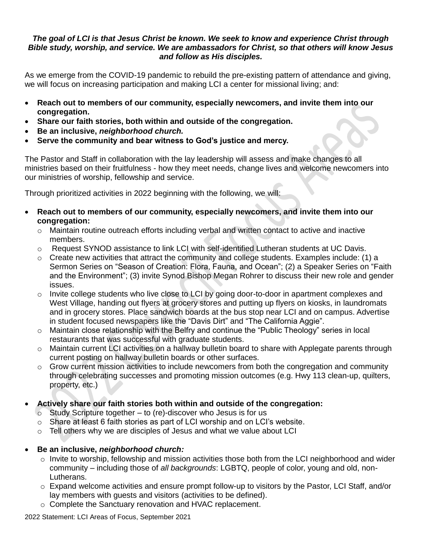## *The goal of LCI is that Jesus Christ be known. We seek to know and experience Christ through Bible study, worship, and service. We are ambassadors for Christ, so that others will know Jesus and follow as His disciples.*

As we emerge from the COVID-19 pandemic to rebuild the pre-existing pattern of attendance and giving, we will focus on increasing participation and making LCI a center for missional living; and:

- **Reach out to members of our community, especially newcomers, and invite them into our congregation.**
- **Share our faith stories, both within and outside of the congregation.**
- **Be an inclusive,** *neighborhood church.*
- **Serve the community and bear witness to God's justice and mercy.**

The Pastor and Staff in collaboration with the lay leadership will assess and make changes to all ministries based on their fruitfulness - how they meet needs, change lives and welcome newcomers into our ministries of worship, fellowship and service.

Through prioritized activities in 2022 beginning with the following, we will:

- **Reach out to members of our community, especially newcomers, and invite them into our congregation:**
	- o Maintain routine outreach efforts including verbal and written contact to active and inactive members.
	- $\circ$  Request SYNOD assistance to link LCI with self-identified Lutheran students at UC Davis.
	- $\circ$  Create new activities that attract the community and college students. Examples include: (1) a Sermon Series on "Season of Creation: Flora, Fauna, and Ocean"; (2) a Speaker Series on "Faith and the Environment"; (3) invite Synod Bishop Megan Rohrer to discuss their new role and gender issues.
	- $\circ$  Invite college students who live close to LCI by going door-to-door in apartment complexes and West Village, handing out flyers at grocery stores and putting up flyers on kiosks, in laundromats and in grocery stores. Place sandwich boards at the bus stop near LCI and on campus. Advertise in student focused newspapers like the "Davis Dirt" and "The California Aggie".
	- o Maintain close relationship with the Belfry and continue the "Public Theology" series in local restaurants that was successful with graduate students.
	- o Maintain current LCI activities on a hallway bulletin board to share with Applegate parents through current posting on hallway bulletin boards or other surfaces.
	- $\circ$  Grow current mission activities to include newcomers from both the congregation and community through celebrating successes and promoting mission outcomes (e.g. Hwy 113 clean-up, quilters, property, etc.)
- **Actively share our faith stories both within and outside of the congregation:**
	- $\circ$  Study Scripture together to (re)-discover who Jesus is for us
	- $\circ$  Share at least 6 faith stories as part of LCI worship and on LCI's website.
	- $\circ$  Tell others why we are disciples of Jesus and what we value about LCI
- **Be an inclusive,** *neighborhood church:*
	- o Invite to worship, fellowship and mission activities those both from the LCI neighborhood and wider community – including those of *all backgrounds*: LGBTQ, people of color, young and old, non-Lutherans.
	- $\circ$  Expand welcome activities and ensure prompt follow-up to visitors by the Pastor, LCI Staff, and/or lay members with guests and visitors (activities to be defined).
	- o Complete the Sanctuary renovation and HVAC replacement.